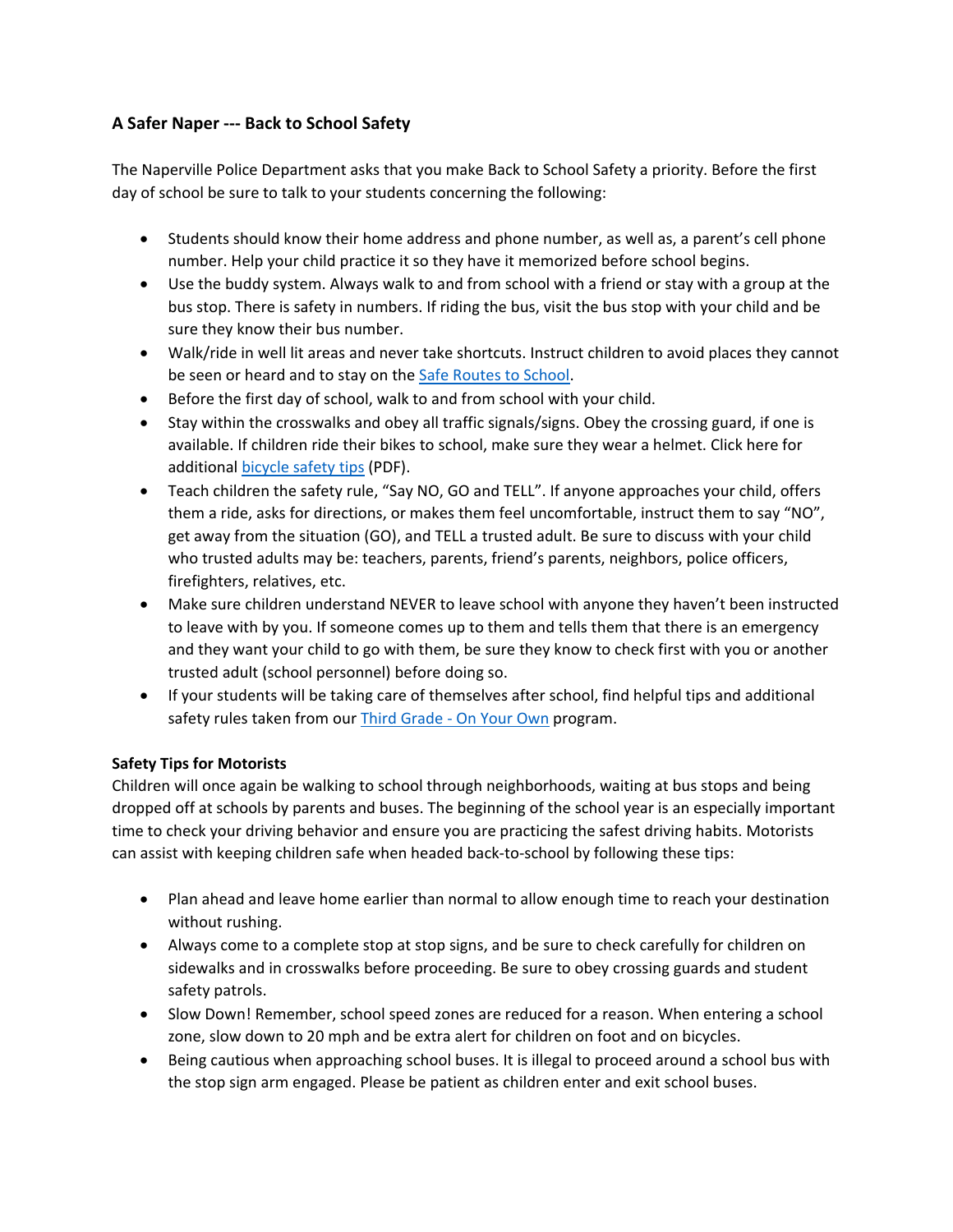# **A Safer Naper ‐‐‐ Back to School Safety**

The Naperville Police Department asks that you make Back to School Safety a priority. Before the first day of school be sure to talk to your students concerning the following:

- Students should know their home address and phone number, as well as, a parent's cell phone number. Help your child practice it so they have it memorized before school begins.
- Use the buddy system. Always walk to and from school with a friend or stay with a group at the bus stop. There is safety in numbers. If riding the bus, visit the bus stop with your child and be sure they know their bus number.
- Walk/ride in well lit areas and never take shortcuts. Instruct children to avoid places they cannot be seen or heard and to stay on the Safe Routes to School.
- Before the first day of school, walk to and from school with your child.
- Stay within the crosswalks and obey all traffic signals/signs. Obey the crossing guard, if one is available. If children ride their bikes to school, make sure they wear a helmet. Click here for additional bicycle safety tips (PDF).
- Teach children the safety rule, "Say NO, GO and TELL". If anyone approaches your child, offers them a ride, asks for directions, or makes them feel uncomfortable, instruct them to say "NO", get away from the situation (GO), and TELL a trusted adult. Be sure to discuss with your child who trusted adults may be: teachers, parents, friend's parents, neighbors, police officers, firefighters, relatives, etc.
- Make sure children understand NEVER to leave school with anyone they haven't been instructed to leave with by you. If someone comes up to them and tells them that there is an emergency and they want your child to go with them, be sure they know to check first with you or another trusted adult (school personnel) before doing so.
- If your students will be taking care of themselves after school, find helpful tips and additional safety rules taken from our Third Grade - On Your Own program.

# **Safety Tips for Motorists**

Children will once again be walking to school through neighborhoods, waiting at bus stops and being dropped off at schools by parents and buses. The beginning of the school year is an especially important time to check your driving behavior and ensure you are practicing the safest driving habits. Motorists can assist with keeping children safe when headed back‐to‐school by following these tips:

- Plan ahead and leave home earlier than normal to allow enough time to reach your destination without rushing.
- Always come to a complete stop at stop signs, and be sure to check carefully for children on sidewalks and in crosswalks before proceeding. Be sure to obey crossing guards and student safety patrols.
- Slow Down! Remember, school speed zones are reduced for a reason. When entering a school zone, slow down to 20 mph and be extra alert for children on foot and on bicycles.
- Being cautious when approaching school buses. It is illegal to proceed around a school bus with the stop sign arm engaged. Please be patient as children enter and exit school buses.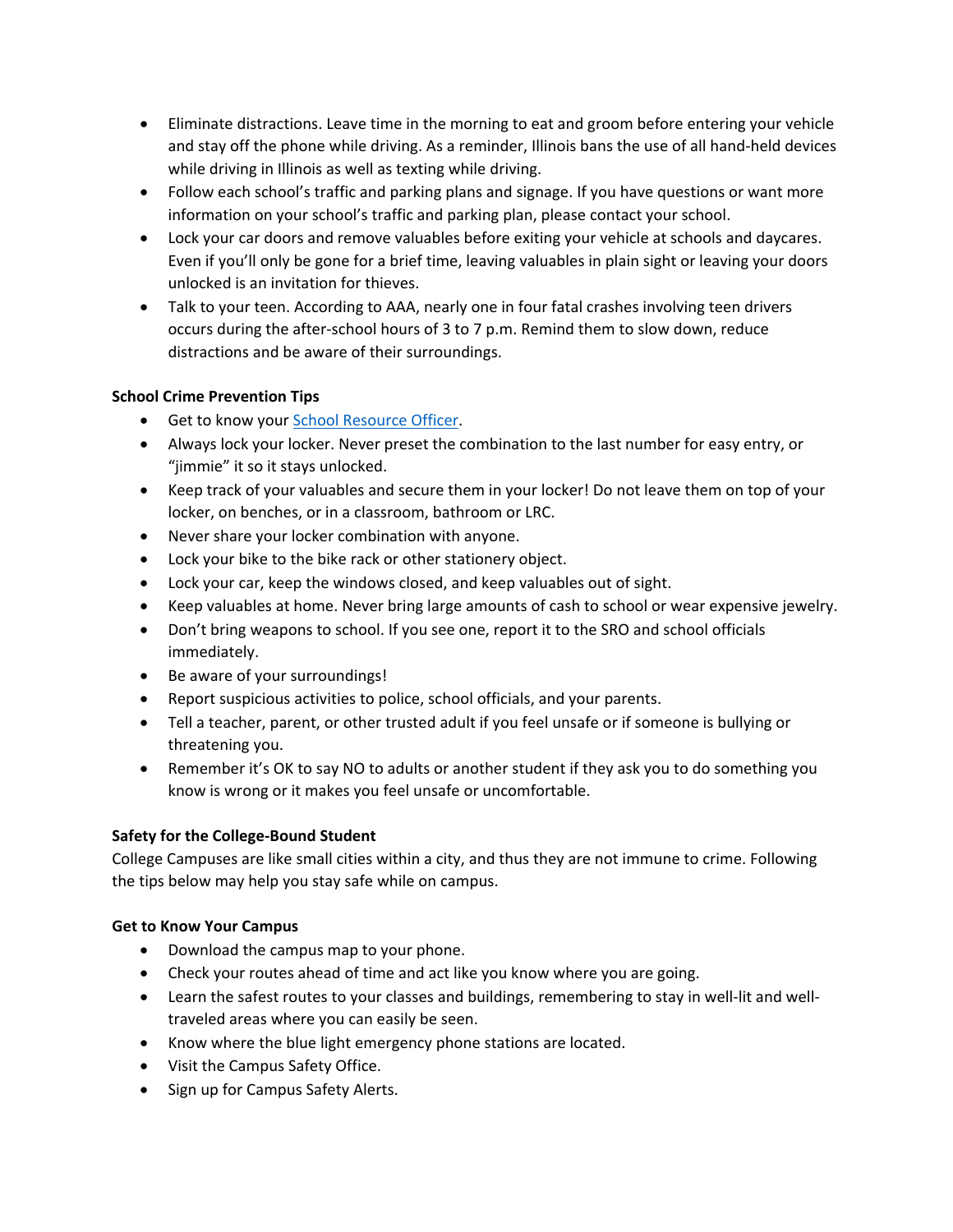- Eliminate distractions. Leave time in the morning to eat and groom before entering your vehicle and stay off the phone while driving. As a reminder, Illinois bans the use of all hand-held devices while driving in Illinois as well as texting while driving.
- Follow each school's traffic and parking plans and signage. If you have questions or want more information on your school's traffic and parking plan, please contact your school.
- Lock your car doors and remove valuables before exiting your vehicle at schools and daycares. Even if you'll only be gone for a brief time, leaving valuables in plain sight or leaving your doors unlocked is an invitation for thieves.
- Talk to your teen. According to AAA, nearly one in four fatal crashes involving teen drivers occurs during the after‐school hours of 3 to 7 p.m. Remind them to slow down, reduce distractions and be aware of their surroundings.

## **School Crime Prevention Tips**

- **Get to know your School Resource Officer.**
- Always lock your locker. Never preset the combination to the last number for easy entry, or "jimmie" it so it stays unlocked.
- Keep track of your valuables and secure them in your locker! Do not leave them on top of your locker, on benches, or in a classroom, bathroom or LRC.
- Never share your locker combination with anyone.
- Lock your bike to the bike rack or other stationery object.
- Lock your car, keep the windows closed, and keep valuables out of sight.
- Keep valuables at home. Never bring large amounts of cash to school or wear expensive jewelry.
- Don't bring weapons to school. If you see one, report it to the SRO and school officials immediately.
- Be aware of your surroundings!
- Report suspicious activities to police, school officials, and your parents.
- Tell a teacher, parent, or other trusted adult if you feel unsafe or if someone is bullying or threatening you.
- Remember it's OK to say NO to adults or another student if they ask you to do something you know is wrong or it makes you feel unsafe or uncomfortable.

## **Safety for the College‐Bound Student**

College Campuses are like small cities within a city, and thus they are not immune to crime. Following the tips below may help you stay safe while on campus.

## **Get to Know Your Campus**

- Download the campus map to your phone.
- Check your routes ahead of time and act like you know where you are going.
- Learn the safest routes to your classes and buildings, remembering to stay in well-lit and welltraveled areas where you can easily be seen.
- Know where the blue light emergency phone stations are located.
- Visit the Campus Safety Office.
- Sign up for Campus Safety Alerts.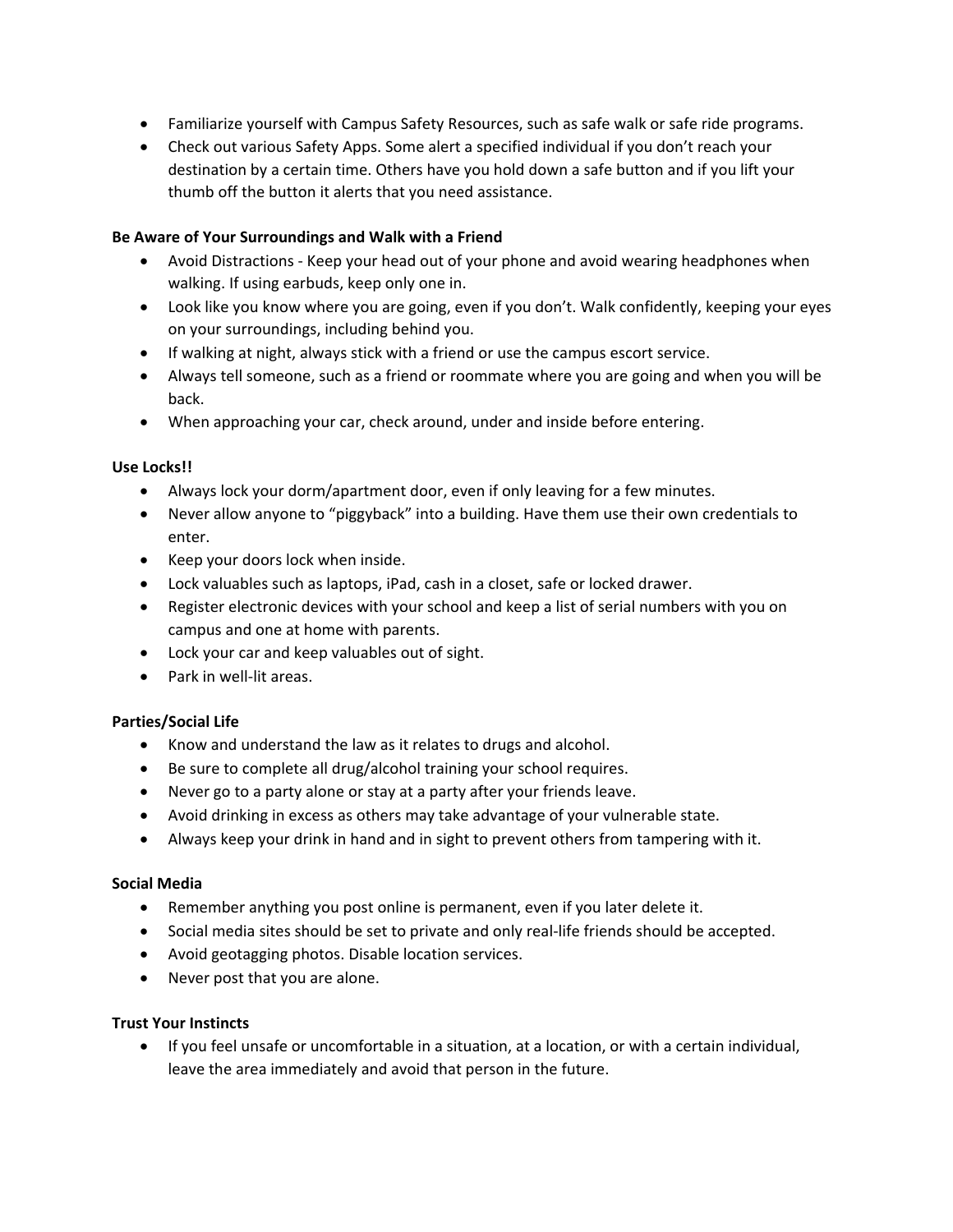- Familiarize yourself with Campus Safety Resources, such as safe walk or safe ride programs.
- Check out various Safety Apps. Some alert a specified individual if you don't reach your destination by a certain time. Others have you hold down a safe button and if you lift your thumb off the button it alerts that you need assistance.

#### **Be Aware of Your Surroundings and Walk with a Friend**

- Avoid Distractions Keep your head out of your phone and avoid wearing headphones when walking. If using earbuds, keep only one in.
- Look like you know where you are going, even if you don't. Walk confidently, keeping your eyes on your surroundings, including behind you.
- If walking at night, always stick with a friend or use the campus escort service.
- Always tell someone, such as a friend or roommate where you are going and when you will be back.
- When approaching your car, check around, under and inside before entering.

#### **Use Locks!!**

- Always lock your dorm/apartment door, even if only leaving for a few minutes.
- Never allow anyone to "piggyback" into a building. Have them use their own credentials to enter.
- Keep your doors lock when inside.
- Lock valuables such as laptops, iPad, cash in a closet, safe or locked drawer.
- Register electronic devices with your school and keep a list of serial numbers with you on campus and one at home with parents.
- Lock your car and keep valuables out of sight.
- Park in well-lit areas.

#### **Parties/Social Life**

- Know and understand the law as it relates to drugs and alcohol.
- Be sure to complete all drug/alcohol training your school requires.
- Never go to a party alone or stay at a party after your friends leave.
- Avoid drinking in excess as others may take advantage of your vulnerable state.
- Always keep your drink in hand and in sight to prevent others from tampering with it.

#### **Social Media**

- Remember anything you post online is permanent, even if you later delete it.
- Social media sites should be set to private and only real-life friends should be accepted.
- Avoid geotagging photos. Disable location services.
- Never post that you are alone.

### **Trust Your Instincts**

 If you feel unsafe or uncomfortable in a situation, at a location, or with a certain individual, leave the area immediately and avoid that person in the future.